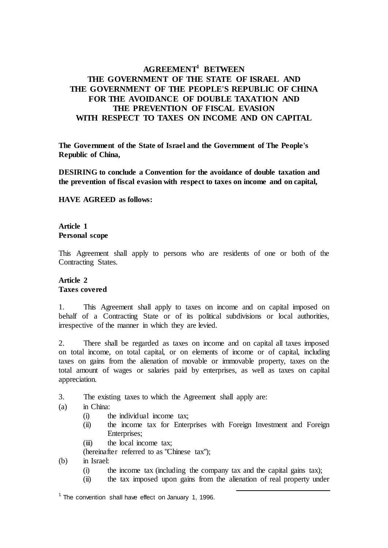# **AGREEMENT<sup>1</sup> BETWEEN THE GOVERNMENT OF THE STATE OF ISRAEL AND THE GOVERNMENT OF THE PEOPLE'S REPUBLIC OF CHINA FOR THE AVOIDANCE OF DOUBLE TAXATION AND THE PREVENTION OF FISCAL EVASION WITH RESPECT TO TAXES ON INCOME AND ON CAPITAL**

**The Government of the State of Israel and the Government of The People's Republic of China,** 

**DESIRING to conclude a Convention for the avoidance of double taxation and the prevention of fiscal evasion with respect to taxes on income and on capital,** 

**HAVE AGREED as follows:**

#### **Article 1 Personal scope**

This Agreement shall apply to persons who are residents of one or both of the Contracting States.

#### **Article 2 Taxes covered**

1. This Agreement shall apply to taxes on income and on capital imposed on behalf of a Contracting State or of its political subdivisions or local authorities, irrespective of the manner in which they are levied.

2. There shall be regarded as taxes on income and on capital all taxes imposed on total income, on total capital, or on elements of income or of capital, including taxes on gains from the alienation of movable or immovable property, taxes on the total amount of wages or salaries paid by enterprises, as well as taxes on capital appreciation.

3. The existing taxes to which the Agreement shall apply are:

- (a) in China:
	- (i) the individual income tax;
	- (ii) the income tax for Enterprises with Foreign Investment and Foreign Enterprises;
	- (iii) the local income tax;

(hereinafter referred to as "Chinese tax");

- (b) in Israel:
	- (i) the income tax (including the company tax and the capital gains tax);
	- (ii) the tax imposed upon gains from the alienation of real property under

-

 $1$  The convention shall have effect on January 1, 1996.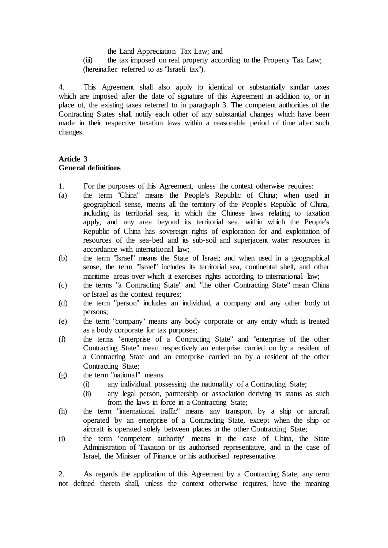#### the Land Appreciation Tax Law; and

(iii) the tax imposed on real property according to the Property Tax Law; (hereinafter referred to as "Israeli tax").

4. This Agreement shall also apply to identical or substantially similar taxes which are imposed after the date of signature of this Agreement in addition to, or in place of, the existing taxes referred to in paragraph 3. The competent authorities of the Contracting States shall notify each other of any substantial changes which have been made in their respective taxation laws within a reasonable period of time after such changes.

## **Article 3 General definitions**

- 1. For the purposes of this Agreement, unless the context otherwise requires:
- (a) the term "China" means the People's Republic of China; when used in geographical sense, means all the territory of the People's Republic of China, including its territorial sea, in which the Chinese laws relating to taxation apply, and any area beyond its territorial sea, within which the People's Republic of China has sovereign rights of exploration for and exploitation of resources of the sea-bed and its sub-soil and superjacent water resources in accordance with international law;
- (b) the term "Israel" means the State of Israel; and when used in a geographical sense, the term "Israel" includes its territorial sea, continental shelf, and other maritime areas over which it exercises rights according to international law;
- (c) the terms "a Contracting State" and "the other Contracting State" mean China or Israel as the context requires;
- (d) the term "person" includes an individual, a company and any other body of persons;
- (e) the term "company" means any body corporate or any entity which is treated as a body corporate for tax purposes;
- (f) the terms "enterprise of a Contracting State" and "enterprise of the other Contracting State" mean respectively an enterprise carried on by a resident of a Contracting State and an enterprise carried on by a resident of the other Contracting State;
- (g) the term "national" means
	- (i) any individual possessing the nationality of a Contracting State;
	- (ii) any legal person, partnership or association deriving its status as such from the laws in force in a Contracting State;
- (h) the term "international traffic" means any transport by a ship or aircraft operated by an enterprise of a Contracting State, except when the ship or aircraft is operated solely between places in the other Contracting State;
- (i) the term "competent authority" means in the case of China, the State Administration of Taxation or its authorised representative, and in the case of Israel, the Minister of Finance or his authorised representative.

2. As regards the application of this Agreement by a Contracting State, any term not defined therein shall, unless the context otherwise requires, have the meaning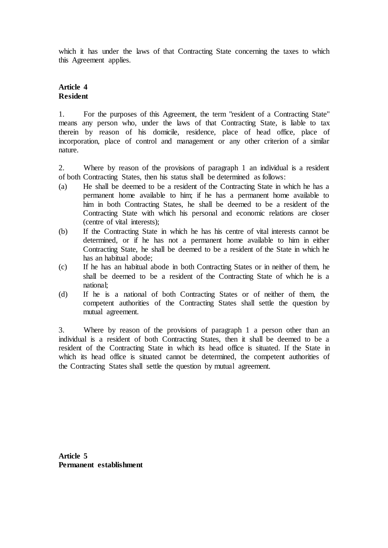which it has under the laws of that Contracting State concerning the taxes to which this Agreement applies.

## **Article 4 Resident**

1. For the purposes of this Agreement, the term "resident of a Contracting State" means any person who, under the laws of that Contracting State, is liable to tax therein by reason of his domicile, residence, place of head office, place of incorporation, place of control and management or any other criterion of a similar nature.

2. Where by reason of the provisions of paragraph 1 an individual is a resident of both Contracting States, then his status shall be determined as follows:

- (a) He shall be deemed to be a resident of the Contracting State in which he has a permanent home available to him; if he has a permanent home available to him in both Contracting States, he shall be deemed to be a resident of the Contracting State with which his personal and economic relations are closer (centre of vital interests);
- (b) If the Contracting State in which he has his centre of vital interests cannot be determined, or if he has not a permanent home available to him in either Contracting State, he shall be deemed to be a resident of the State in which he has an habitual abode;
- (c) If he has an habitual abode in both Contracting States or in neither of them, he shall be deemed to be a resident of the Contracting State of which he is a national;
- (d) If he is a national of both Contracting States or of neither of them, the competent authorities of the Contracting States shall settle the question by mutual agreement.

3. Where by reason of the provisions of paragraph 1 a person other than an individual is a resident of both Contracting States, then it shall be deemed to be a resident of the Contracting State in which its head office is situated. If the State in which its head office is situated cannot be determined, the competent authorities of the Contracting States shall settle the question by mutual agreement.

**Article 5 Permanent establishment**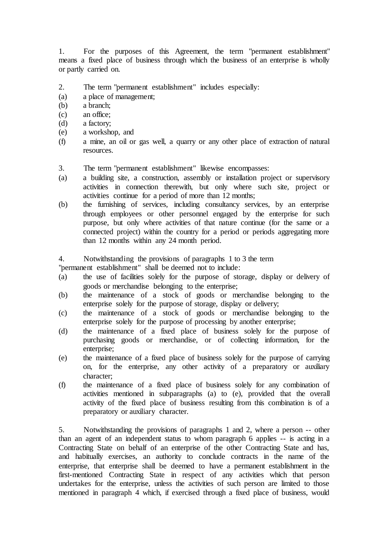1. For the purposes of this Agreement, the term "permanent establishment" means a fixed place of business through which the business of an enterprise is wholly or partly carried on.

- 2. The term "permanent establishment" includes especially:
- (a) a place of management;
- (b) a branch;
- (c) an office;
- (d) a factory;
- (e) a workshop, and
- (f) a mine, an oil or gas well, a quarry or any other place of extraction of natural resources.
- 3. The term "permanent establishment" likewise encompasses:
- (a) a building site, a construction, assembly or installation project or supervisory activities in connection therewith, but only where such site, project or activities continue for a period of more than 12 months;
- (b) the furnishing of services, including consultancy services, by an enterprise through employees or other personnel engaged by the enterprise for such purpose, but only where activities of that nature continue (for the same or a connected project) within the country for a period or periods aggregating more than 12 months within any 24 month period.

4. Notwithstanding the provisions of paragraphs 1 to 3 the term

"permanent establishment" shall be deemed not to include:

- (a) the use of facilities solely for the purpose of storage, display or delivery of goods or merchandise belonging to the enterprise;
- (b) the maintenance of a stock of goods or merchandise belonging to the enterprise solely for the purpose of storage, display or delivery;
- (c) the maintenance of a stock of goods or merchandise belonging to the enterprise solely for the purpose of processing by another enterprise;
- (d) the maintenance of a fixed place of business solely for the purpose of purchasing goods or merchandise, or of collecting information, for the enterprise;
- (e) the maintenance of a fixed place of business solely for the purpose of carrying on, for the enterprise, any other activity of a preparatory or auxiliary character;
- (f) the maintenance of a fixed place of business solely for any combination of activities mentioned in subparagraphs (a) to (e), provided that the overall activity of the fixed place of business resulting from this combination is of a preparatory or auxiliary character.

5. Notwithstanding the provisions of paragraphs 1 and 2, where a person -- other than an agent of an independent status to whom paragraph 6 applies -- is acting in a Contracting State on behalf of an enterprise of the other Contracting State and has, and habitually exercises, an authority to conclude contracts in the name of the enterprise, that enterprise shall be deemed to have a permanent establishment in the first-mentioned Contracting State in respect of any activities which that person undertakes for the enterprise, unless the activities of such person are limited to those mentioned in paragraph 4 which, if exercised through a fixed place of business, would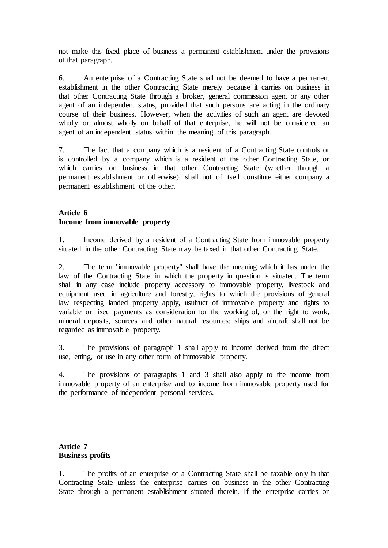not make this fixed place of business a permanent establishment under the provisions of that paragraph.

6. An enterprise of a Contracting State shall not be deemed to have a permanent establishment in the other Contracting State merely because it carries on business in that other Contracting State through a broker, general commission agent or any other agent of an independent status, provided that such persons are acting in the ordinary course of their business. However, when the activities of such an agent are devoted wholly or almost wholly on behalf of that enterprise, he will not be considered an agent of an independent status within the meaning of this paragraph.

7. The fact that a company which is a resident of a Contracting State controls or is controlled by a company which is a resident of the other Contracting State, or which carries on business in that other Contracting State (whether through a permanent establishment or otherwise), shall not of itself constitute either company a permanent establishment of the other.

### **Article 6 Income from immovable property**

1. Income derived by a resident of a Contracting State from immovable property situated in the other Contracting State may be taxed in that other Contracting State.

2. The term "immovable property" shall have the meaning which it has under the law of the Contracting State in which the property in question is situated. The term shall in any case include property accessory to immovable property, livestock and equipment used in agriculture and forestry, rights to which the provisions of general law respecting landed property apply, usufruct of immovable property and rights to variable or fixed payments as consideration for the working of, or the right to work, mineral deposits, sources and other natural resources; ships and aircraft shall not be regarded as immovable property.

3. The provisions of paragraph 1 shall apply to income derived from the direct use, letting, or use in any other form of immovable property.

4. The provisions of paragraphs 1 and 3 shall also apply to the income from immovable property of an enterprise and to income from immovable property used for the performance of independent personal services.

#### **Article 7 Business profits**

1. The profits of an enterprise of a Contracting State shall be taxable only in that Contracting State unless the enterprise carries on business in the other Contracting State through a permanent establishment situated therein. If the enterprise carries on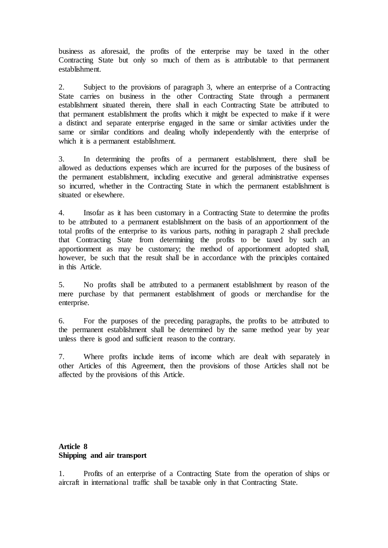business as aforesaid, the profits of the enterprise may be taxed in the other Contracting State but only so much of them as is attributable to that permanent establishment.

2. Subject to the provisions of paragraph 3, where an enterprise of a Contracting State carries on business in the other Contracting State through a permanent establishment situated therein, there shall in each Contracting State be attributed to that permanent establishment the profits which it might be expected to make if it were a distinct and separate enterprise engaged in the same or similar activities under the same or similar conditions and dealing wholly independently with the enterprise of which it is a permanent establishment.

3. In determining the profits of a permanent establishment, there shall be allowed as deductions expenses which are incurred for the purposes of the business of the permanent establishment, including executive and general administrative expenses so incurred, whether in the Contracting State in which the permanent establishment is situated or elsewhere.

4. Insofar as it has been customary in a Contracting State to determine the profits to be attributed to a permanent establishment on the basis of an apportionment of the total profits of the enterprise to its various parts, nothing in paragraph 2 shall preclude that Contracting State from determining the profits to be taxed by such an apportionment as may be customary; the method of apportionment adopted shall, however, be such that the result shall be in accordance with the principles contained in this Article.

5. No profits shall be attributed to a permanent establishment by reason of the mere purchase by that permanent establishment of goods or merchandise for the enterprise.

6. For the purposes of the preceding paragraphs, the profits to be attributed to the permanent establishment shall be determined by the same method year by year unless there is good and sufficient reason to the contrary.

7. Where profits include items of income which are dealt with separately in other Articles of this Agreement, then the provisions of those Articles shall not be affected by the provisions of this Article.

#### **Article 8 Shipping and air transport**

1. Profits of an enterprise of a Contracting State from the operation of ships or aircraft in international traffic shall be taxable only in that Contracting State.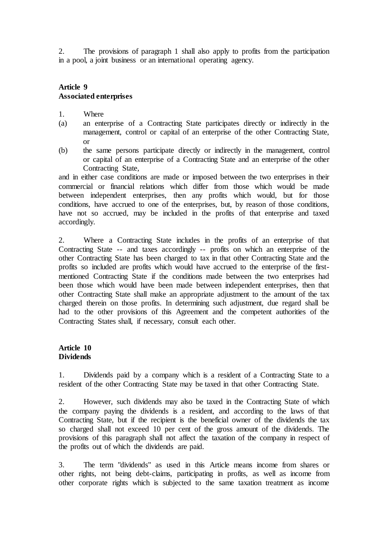2. The provisions of paragraph 1 shall also apply to profits from the participation in a pool, a joint business or an international operating agency.

### **Article 9 Associated enterprises**

- 1. Where
- (a) an enterprise of a Contracting State participates directly or indirectly in the management, control or capital of an enterprise of the other Contracting State, or
- (b) the same persons participate directly or indirectly in the management, control or capital of an enterprise of a Contracting State and an enterprise of the other Contracting State,

and in either case conditions are made or imposed between the two enterprises in their commercial or financial relations which differ from those which would be made between independent enterprises, then any profits which would, but for those conditions, have accrued to one of the enterprises, but, by reason of those conditions, have not so accrued, may be included in the profits of that enterprise and taxed accordingly.

2. Where a Contracting State includes in the profits of an enterprise of that Contracting State -- and taxes accordingly -- profits on which an enterprise of the other Contracting State has been charged to tax in that other Contracting State and the profits so included are profits which would have accrued to the enterprise of the firstmentioned Contracting State if the conditions made between the two enterprises had been those which would have been made between independent enterprises, then that other Contracting State shall make an appropriate adjustment to the amount of the tax charged therein on those profits. In determining such adjustment, due regard shall be had to the other provisions of this Agreement and the competent authorities of the Contracting States shall, if necessary, consult each other.

#### **Article 10 Dividends**

1. Dividends paid by a company which is a resident of a Contracting State to a resident of the other Contracting State may be taxed in that other Contracting State.

2. However, such dividends may also be taxed in the Contracting State of which the company paying the dividends is a resident, and according to the laws of that Contracting State, but if the recipient is the beneficial owner of the dividends the tax so charged shall not exceed 10 per cent of the gross amount of the dividends. The provisions of this paragraph shall not affect the taxation of the company in respect of the profits out of which the dividends are paid.

3. The term "dividends" as used in this Article means income from shares or other rights, not being debt-claims, participating in profits, as well as income from other corporate rights which is subjected to the same taxation treatment as income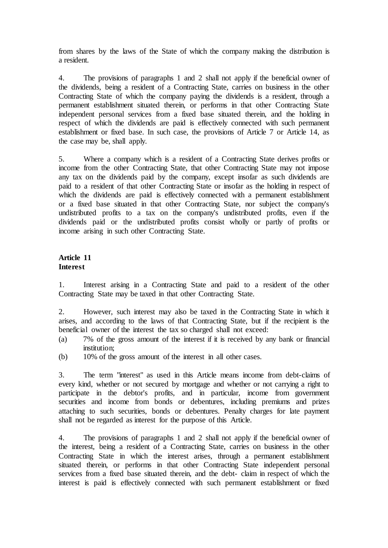from shares by the laws of the State of which the company making the distribution is a resident.

4. The provisions of paragraphs 1 and 2 shall not apply if the beneficial owner of the dividends, being a resident of a Contracting State, carries on business in the other Contracting State of which the company paying the dividends is a resident, through a permanent establishment situated therein, or performs in that other Contracting State independent personal services from a fixed base situated therein, and the holding in respect of which the dividends are paid is effectively connected with such permanent establishment or fixed base. In such case, the provisions of Article 7 or Article 14, as the case may be, shall apply.

5. Where a company which is a resident of a Contracting State derives profits or income from the other Contracting State, that other Contracting State may not impose any tax on the dividends paid by the company, except insofar as such dividends are paid to a resident of that other Contracting State or insofar as the holding in respect of which the dividends are paid is effectively connected with a permanent establishment or a fixed base situated in that other Contracting State, nor subject the company's undistributed profits to a tax on the company's undistributed profits, even if the dividends paid or the undistributed profits consist wholly or partly of profits or income arising in such other Contracting State.

## **Article 11 Interest**

1. Interest arising in a Contracting State and paid to a resident of the other Contracting State may be taxed in that other Contracting State.

2. However, such interest may also be taxed in the Contracting State in which it arises, and according to the laws of that Contracting State, but if the recipient is the beneficial owner of the interest the tax so charged shall not exceed:

- (a) 7% of the gross amount of the interest if it is received by any bank or financial institution;
- (b) 10% of the gross amount of the interest in all other cases.

3. The term "interest" as used in this Article means income from debt-claims of every kind, whether or not secured by mortgage and whether or not carrying a right to participate in the debtor's profits, and in particular, income from government securities and income from bonds or debentures, including premiums and prizes attaching to such securities, bonds or debentures. Penalty charges for late payment shall not be regarded as interest for the purpose of this Article.

4. The provisions of paragraphs 1 and 2 shall not apply if the beneficial owner of the interest, being a resident of a Contracting State, carries on business in the other Contracting State in which the interest arises, through a permanent establishment situated therein, or performs in that other Contracting State independent personal services from a fixed base situated therein, and the debt- claim in respect of which the interest is paid is effectively connected with such permanent establishment or fixed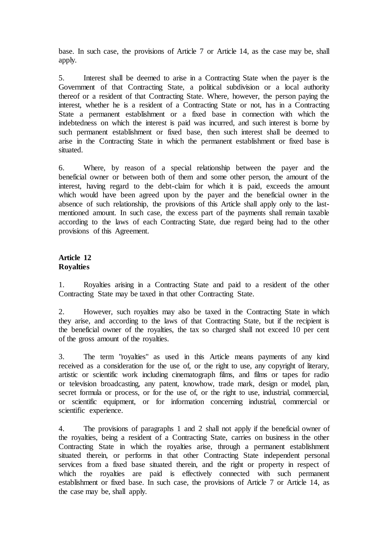base. In such case, the provisions of Article 7 or Article 14, as the case may be, shall apply.

5. Interest shall be deemed to arise in a Contracting State when the payer is the Government of that Contracting State, a political subdivision or a local authority thereof or a resident of that Contracting State. Where, however, the person paying the interest, whether he is a resident of a Contracting State or not, has in a Contracting State a permanent establishment or a fixed base in connection with which the indebtedness on which the interest is paid was incurred, and such interest is borne by such permanent establishment or fixed base, then such interest shall be deemed to arise in the Contracting State in which the permanent establishment or fixed base is situated.

6. Where, by reason of a special relationship between the payer and the beneficial owner or between both of them and some other person, the amount of the interest, having regard to the debt-claim for which it is paid, exceeds the amount which would have been agreed upon by the payer and the beneficial owner in the absence of such relationship, the provisions of this Article shall apply only to the lastmentioned amount. In such case, the excess part of the payments shall remain taxable according to the laws of each Contracting State, due regard being had to the other provisions of this Agreement.

## **Article 12 Royalties**

1. Royalties arising in a Contracting State and paid to a resident of the other Contracting State may be taxed in that other Contracting State.

2. However, such royalties may also be taxed in the Contracting State in which they arise, and according to the laws of that Contracting State, but if the recipient is the beneficial owner of the royalties, the tax so charged shall not exceed 10 per cent of the gross amount of the royalties.

3. The term "royalties" as used in this Article means payments of any kind received as a consideration for the use of, or the right to use, any copyright of literary, artistic or scientific work including cinematograph films, and films or tapes for radio or television broadcasting, any patent, knowhow, trade mark, design or model, plan, secret formula or process, or for the use of, or the right to use, industrial, commercial, or scientific equipment, or for information concerning industrial, commercial or scientific experience.

4. The provisions of paragraphs 1 and 2 shall not apply if the beneficial owner of the royalties, being a resident of a Contracting State, carries on business in the other Contracting State in which the royalties arise, through a permanent establishment situated therein, or performs in that other Contracting State independent personal services from a fixed base situated therein, and the right or property in respect of which the royalties are paid is effectively connected with such permanent establishment or fixed base. In such case, the provisions of Article 7 or Article 14, as the case may be, shall apply.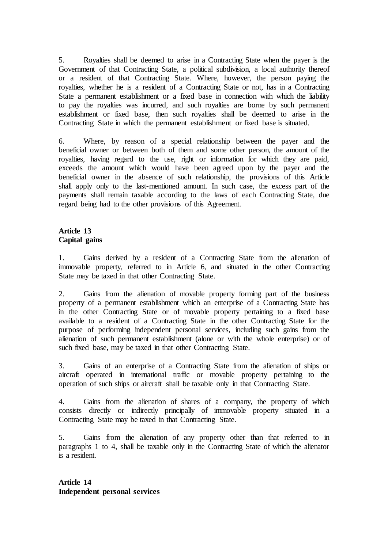5. Royalties shall be deemed to arise in a Contracting State when the payer is the Government of that Contracting State, a political subdivision, a local authority thereof or a resident of that Contracting State. Where, however, the person paying the royalties, whether he is a resident of a Contracting State or not, has in a Contracting State a permanent establishment or a fixed base in connection with which the liability to pay the royalties was incurred, and such royalties are borne by such permanent establishment or fixed base, then such royalties shall be deemed to arise in the Contracting State in which the permanent establishment or fixed base is situated.

6. Where, by reason of a special relationship between the payer and the beneficial owner or between both of them and some other person, the amount of the royalties, having regard to the use, right or information for which they are paid, exceeds the amount which would have been agreed upon by the payer and the beneficial owner in the absence of such relationship, the provisions of this Article shall apply only to the last-mentioned amount. In such case, the excess part of the payments shall remain taxable according to the laws of each Contracting State, due regard being had to the other provisions of this Agreement.

### **Article 13 Capital gains**

1. Gains derived by a resident of a Contracting State from the alienation of immovable property, referred to in Article 6, and situated in the other Contracting State may be taxed in that other Contracting State.

2. Gains from the alienation of movable property forming part of the business property of a permanent establishment which an enterprise of a Contracting State has in the other Contracting State or of movable property pertaining to a fixed base available to a resident of a Contracting State in the other Contracting State for the purpose of performing independent personal services, including such gains from the alienation of such permanent establishment (alone or with the whole enterprise) or of such fixed base, may be taxed in that other Contracting State.

3. Gains of an enterprise of a Contracting State from the alienation of ships or aircraft operated in international traffic or movable property pertaining to the operation of such ships or aircraft shall be taxable only in that Contracting State.

4. Gains from the alienation of shares of a company, the property of which consists directly or indirectly principally of immovable property situated in a Contracting State may be taxed in that Contracting State.

5. Gains from the alienation of any property other than that referred to in paragraphs 1 to 4, shall be taxable only in the Contracting State of which the alienator is a resident.

**Article 14 Independent personal services**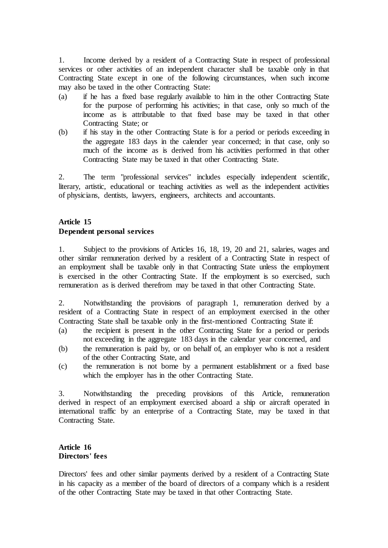1. Income derived by a resident of a Contracting State in respect of professional services or other activities of an independent character shall be taxable only in that Contracting State except in one of the following circumstances, when such income may also be taxed in the other Contracting State:

- (a) if he has a fixed base regularly available to him in the other Contracting State for the purpose of performing his activities; in that case, only so much of the income as is attributable to that fixed base may be taxed in that other Contracting State; or
- (b) if his stay in the other Contracting State is for a period or periods exceeding in the aggregate 183 days in the calender year concerned; in that case, only so much of the income as is derived from his activities performed in that other Contracting State may be taxed in that other Contracting State.

2. The term "professional services" includes especially independent scientific, literary, artistic, educational or teaching activities as well as the independent activities of physicians, dentists, lawyers, engineers, architects and accountants.

## **Article 15 Dependent personal services**

1. Subject to the provisions of Articles 16, 18, 19, 20 and 21, salaries, wages and other similar remuneration derived by a resident of a Contracting State in respect of an employment shall be taxable only in that Contracting State unless the employment is exercised in the other Contracting State. If the employment is so exercised, such remuneration as is derived therefrom may be taxed in that other Contracting State.

2. Notwithstanding the provisions of paragraph 1, remuneration derived by a resident of a Contracting State in respect of an employment exercised in the other Contracting State shall be taxable only in the first-mentioned Contracting State if:

- (a) the recipient is present in the other Contracting State for a period or periods not exceeding in the aggregate 183 days in the calendar year concerned, and
- (b) the remuneration is paid by, or on behalf of, an employer who is not a resident of the other Contracting State, and
- (c) the remuneration is not borne by a permanent establishment or a fixed base which the employer has in the other Contracting State.

3. Notwithstanding the preceding provisions of this Article, remuneration derived in respect of an employment exercised aboard a ship or aircraft operated in international traffic by an enterprise of a Contracting State, may be taxed in that Contracting State.

## **Article 16 Directors' fees**

Directors' fees and other similar payments derived by a resident of a Contracting State in his capacity as a member of the board of directors of a company which is a resident of the other Contracting State may be taxed in that other Contracting State.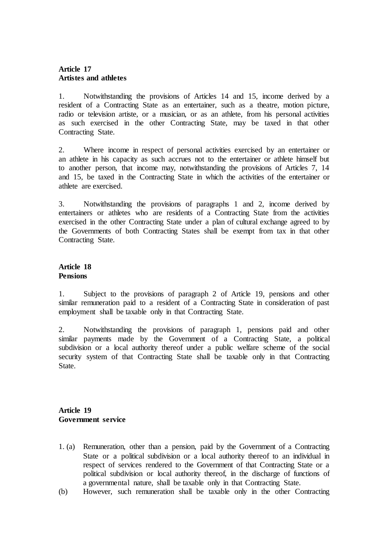## **Article 17 Artistes and athletes**

1. Notwithstanding the provisions of Articles 14 and 15, income derived by a resident of a Contracting State as an entertainer, such as a theatre, motion picture, radio or television artiste, or a musician, or as an athlete, from his personal activities as such exercised in the other Contracting State, may be taxed in that other Contracting State.

2. Where income in respect of personal activities exercised by an entertainer or an athlete in his capacity as such accrues not to the entertainer or athlete himself but to another person, that income may, notwithstanding the provisions of Articles 7, 14 and 15, be taxed in the Contracting State in which the activities of the entertainer or athlete are exercised.

3. Notwithstanding the provisions of paragraphs 1 and 2, income derived by entertainers or athletes who are residents of a Contracting State from the activities exercised in the other Contracting State under a plan of cultural exchange agreed to by the Governments of both Contracting States shall be exempt from tax in that other Contracting State.

## **Article 18 Pensions**

1. Subject to the provisions of paragraph 2 of Article 19, pensions and other similar remuneration paid to a resident of a Contracting State in consideration of past employment shall be taxable only in that Contracting State.

2. Notwithstanding the provisions of paragraph 1, pensions paid and other similar payments made by the Government of a Contracting State, a political subdivision or a local authority thereof under a public welfare scheme of the social security system of that Contracting State shall be taxable only in that Contracting State.

**Article 19 Government service**

- 1. (a) Remuneration, other than a pension, paid by the Government of a Contracting State or a political subdivision or a local authority thereof to an individual in respect of services rendered to the Government of that Contracting State or a political subdivision or local authority thereof, in the discharge of functions of a governmental nature, shall be taxable only in that Contracting State.
- (b) However, such remuneration shall be taxable only in the other Contracting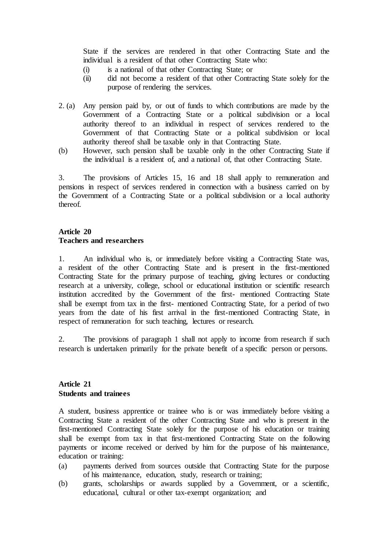State if the services are rendered in that other Contracting State and the individual is a resident of that other Contracting State who:

- (i) is a national of that other Contracting State; or
- (ii) did not become a resident of that other Contracting State solely for the purpose of rendering the services.
- 2. (a) Any pension paid by, or out of funds to which contributions are made by the Government of a Contracting State or a political subdivision or a local authority thereof to an individual in respect of services rendered to the Government of that Contracting State or a political subdivision or local authority thereof shall be taxable only in that Contracting State.
- (b) However, such pension shall be taxable only in the other Contracting State if the individual is a resident of, and a national of, that other Contracting State.

3. The provisions of Articles 15, 16 and 18 shall apply to remuneration and pensions in respect of services rendered in connection with a business carried on by the Government of a Contracting State or a political subdivision or a local authority thereof.

### **Article 20 Teachers and researchers**

1. An individual who is, or immediately before visiting a Contracting State was, a resident of the other Contracting State and is present in the first-mentioned Contracting State for the primary purpose of teaching, giving lectures or conducting research at a university, college, school or educational institution or scientific research institution accredited by the Government of the first- mentioned Contracting State shall be exempt from tax in the first- mentioned Contracting State, for a period of two years from the date of his first arrival in the first-mentioned Contracting State, in respect of remuneration for such teaching, lectures or research.

2. The provisions of paragraph 1 shall not apply to income from research if such research is undertaken primarily for the private benefit of a specific person or persons.

#### **Article 21 Students and trainees**

A student, business apprentice or trainee who is or was immediately before visiting a Contracting State a resident of the other Contracting State and who is present in the first-mentioned Contracting State solely for the purpose of his education or training shall be exempt from tax in that first-mentioned Contracting State on the following payments or income received or derived by him for the purpose of his maintenance, education or training:

- (a) payments derived from sources outside that Contracting State for the purpose of his maintenance, education, study, research or training;
- (b) grants, scholarships or awards supplied by a Government, or a scientific, educational, cultural or other tax-exempt organization; and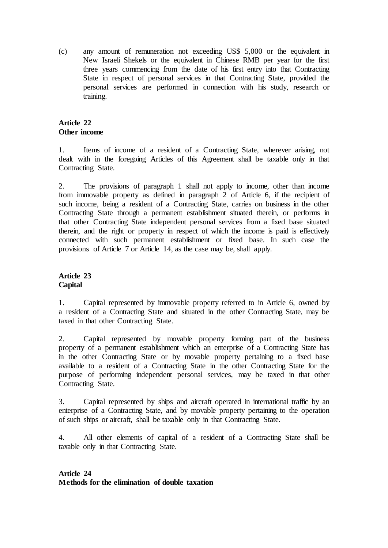(c) any amount of remuneration not exceeding US\$ 5,000 or the equivalent in New Israeli Shekels or the equivalent in Chinese RMB per year for the first three years commencing from the date of his first entry into that Contracting State in respect of personal services in that Contracting State, provided the personal services are performed in connection with his study, research or training.

## **Article 22 Other income**

1. Items of income of a resident of a Contracting State, wherever arising, not dealt with in the foregoing Articles of this Agreement shall be taxable only in that Contracting State.

2. The provisions of paragraph 1 shall not apply to income, other than income from immovable property as defined in paragraph 2 of Article 6, if the recipient of such income, being a resident of a Contracting State, carries on business in the other Contracting State through a permanent establishment situated therein, or performs in that other Contracting State independent personal services from a fixed base situated therein, and the right or property in respect of which the income is paid is effectively connected with such permanent establishment or fixed base. In such case the provisions of Article 7 or Article 14, as the case may be, shall apply.

# **Article 23 Capital**

1. Capital represented by immovable property referred to in Article 6, owned by a resident of a Contracting State and situated in the other Contracting State, may be taxed in that other Contracting State.

2. Capital represented by movable property forming part of the business property of a permanent establishment which an enterprise of a Contracting State has in the other Contracting State or by movable property pertaining to a fixed base available to a resident of a Contracting State in the other Contracting State for the purpose of performing independent personal services, may be taxed in that other Contracting State.

3. Capital represented by ships and aircraft operated in international traffic by an enterprise of a Contracting State, and by movable property pertaining to the operation of such ships or aircraft, shall be taxable only in that Contracting State.

4. All other elements of capital of a resident of a Contracting State shall be taxable only in that Contracting State.

## **Article 24 Methods for the elimination of double taxation**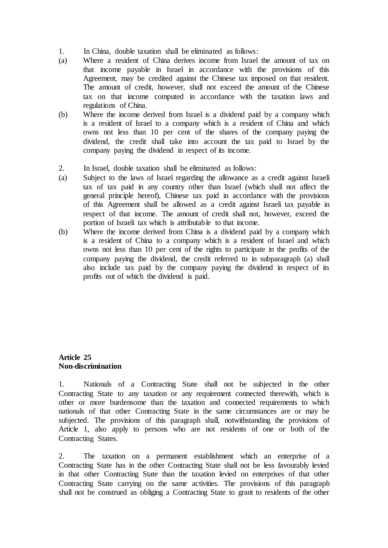- 1. In China, double taxation shall be eliminated as follows:
- (a) Where a resident of China derives income from Israel the amount of tax on that income payable in Israel in accordance with the provisions of this Agreement, may be credited against the Chinese tax imposed on that resident. The amount of credit, however, shall not exceed the amount of the Chinese tax on that income computed in accordance with the taxation laws and regulations of China.
- (b) Where the income derived from Israel is a dividend paid by a company which is a resident of Israel to a company which is a resident of China and which owns not less than 10 per cent of the shares of the company paying the dividend, the credit shall take into account the tax paid to Israel by the company paying the dividend in respect of its income.
- 2. In Israel, double taxation shall be eliminated as follows:
- (a) Subject to the laws of Israel regarding the allowance as a credit against Israeli tax of tax paid in any country other than Israel (which shall not affect the general principle hereof), Chinese tax paid in accordance with the provisions of this Agreement shall be allowed as a credit against Israeli tax payable in respect of that income. The amount of credit shall not, however, exceed the portion of Israeli tax which is attributable to that income.
- (b) Where the income derived from China is a dividend paid by a company which is a resident of China to a company which is a resident of Israel and which owns not less than 10 per cent of the rights to participate in the profits of the company paying the dividend, the credit referred to in subparagraph (a) shall also include tax paid by the company paying the dividend in respect of its profits out of which the dividend is paid.

## **Article 25 Non-discrimination**

1. Nationals of a Contracting State shall not be subjected in the other Contracting State to any taxation or any requirement connected therewith, which is other or more burdensome than the taxation and connected requirements to which nationals of that other Contracting State in the same circumstances are or may be subjected. The provisions of this paragraph shall, notwithstanding the provisions of Article 1, also apply to persons who are not residents of one or both of the Contracting States.

2. The taxation on a permanent establishment which an enterprise of a Contracting State has in the other Contracting State shall not be less favourably levied in that other Contracting State than the taxation levied on enterprises of that other Contracting State carrying on the same activities. The provisions of this paragraph shall not be construed as obliging a Contracting State to grant to residents of the other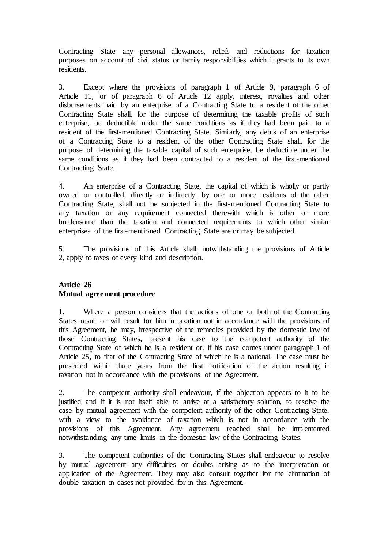Contracting State any personal allowances, reliefs and reductions for taxation purposes on account of civil status or family responsibilities which it grants to its own residents.

3. Except where the provisions of paragraph 1 of Article 9, paragraph 6 of Article 11, or of paragraph 6 of Article 12 apply, interest, royalties and other disbursements paid by an enterprise of a Contracting State to a resident of the other Contracting State shall, for the purpose of determining the taxable profits of such enterprise, be deductible under the same conditions as if they had been paid to a resident of the first-mentioned Contracting State. Similarly, any debts of an enterprise of a Contracting State to a resident of the other Contracting State shall, for the purpose of determining the taxable capital of such enterprise, be deductible under the same conditions as if they had been contracted to a resident of the first-mentioned Contracting State.

4. An enterprise of a Contracting State, the capital of which is wholly or partly owned or controlled, directly or indirectly, by one or more residents of the other Contracting State, shall not be subjected in the first-mentioned Contracting State to any taxation or any requirement connected therewith which is other or more burdensome than the taxation and connected requirements to which other similar enterprises of the first-mentioned Contracting State are or may be subjected.

5. The provisions of this Article shall, notwithstanding the provisions of Article 2, apply to taxes of every kind and description.

## **Article 26 Mutual agreement procedure**

1. Where a person considers that the actions of one or both of the Contracting States result or will result for him in taxation not in accordance with the provisions of this Agreement, he may, irrespective of the remedies provided by the domestic law of those Contracting States, present his case to the competent authority of the Contracting State of which he is a resident or, if his case comes under paragraph 1 of Article 25, to that of the Contracting State of which he is a national. The case must be presented within three years from the first notification of the action resulting in taxation not in accordance with the provisions of the Agreement.

2. The competent authority shall endeavour, if the objection appears to it to be justified and if it is not itself able to arrive at a satisfactory solution, to resolve the case by mutual agreement with the competent authority of the other Contracting State, with a view to the avoidance of taxation which is not in accordance with the provisions of this Agreement. Any agreement reached shall be implemented notwithstanding any time limits in the domestic law of the Contracting States.

3. The competent authorities of the Contracting States shall endeavour to resolve by mutual agreement any difficulties or doubts arising as to the interpretation or application of the Agreement. They may also consult together for the elimination of double taxation in cases not provided for in this Agreement.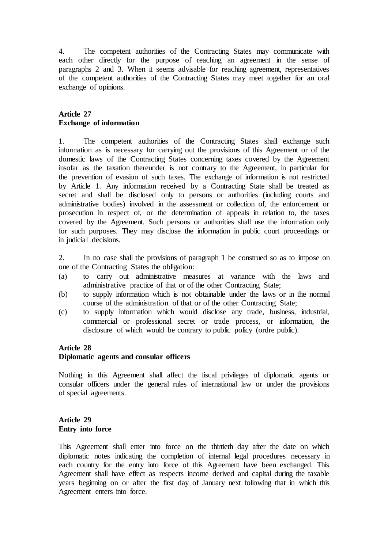4. The competent authorities of the Contracting States may communicate with each other directly for the purpose of reaching an agreement in the sense of paragraphs 2 and 3. When it seems advisable for reaching agreement, representatives of the competent authorities of the Contracting States may meet together for an oral exchange of opinions.

## **Article 27 Exchange of information**

1. The competent authorities of the Contracting States shall exchange such information as is necessary for carrying out the provisions of this Agreement or of the domestic laws of the Contracting States concerning taxes covered by the Agreement insofar as the taxation thereunder is not contrary to the Agreement, in particular for the prevention of evasion of such taxes. The exchange of information is not restricted by Article 1. Any information received by a Contracting State shall be treated as secret and shall be disclosed only to persons or authorities (including courts and administrative bodies) involved in the assessment or collection of, the enforcement or prosecution in respect of, or the determination of appeals in relation to, the taxes covered by the Agreement. Such persons or authorities shall use the information only for such purposes. They may disclose the information in public court proceedings or in judicial decisions.

2. In no case shall the provisions of paragraph 1 be construed so as to impose on one of the Contracting States the obligation:

- (a) to carry out administrative measures at variance with the laws and administrative practice of that or of the other Contracting State;
- (b) to supply information which is not obtainable under the laws or in the normal course of the administration of that or of the other Contracting State;
- (c) to supply information which would disclose any trade, business, industrial, commercial or professional secret or trade process, or information, the disclosure of which would be contrary to public policy (ordre public).

#### **Article 28**

#### **Diplomatic agents and consular officers**

Nothing in this Agreement shall affect the fiscal privileges of diplomatic agents or consular officers under the general rules of international law or under the provisions of special agreements.

#### **Article 29 Entry into force**

This Agreement shall enter into force on the thirtieth day after the date on which diplomatic notes indicating the completion of internal legal procedures necessary in each country for the entry into force of this Agreement have been exchanged. This Agreement shall have effect as respects income derived and capital during the taxable years beginning on or after the first day of January next following that in which this Agreement enters into force.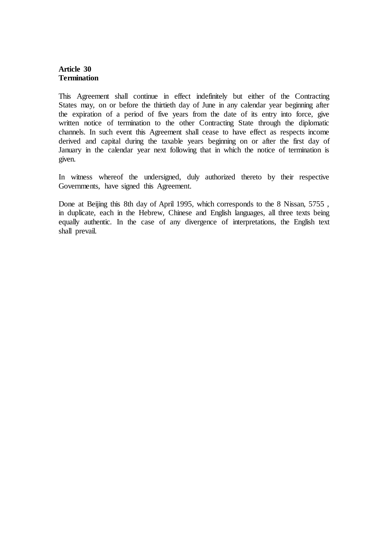#### **Article 30 Termination**

This Agreement shall continue in effect indefinitely but either of the Contracting States may, on or before the thirtieth day of June in any calendar year beginning after the expiration of a period of five years from the date of its entry into force, give written notice of termination to the other Contracting State through the diplomatic channels. In such event this Agreement shall cease to have effect as respects income derived and capital during the taxable years beginning on or after the first day of January in the calendar year next following that in which the notice of termination is given.

In witness whereof the undersigned, duly authorized thereto by their respective Governments, have signed this Agreement.

Done at Beijing this 8th day of April 1995, which corresponds to the 8 Nissan, 5755, in duplicate, each in the Hebrew, Chinese and English languages, all three texts being equally authentic. In the case of any divergence of interpretations, the English text shall prevail.